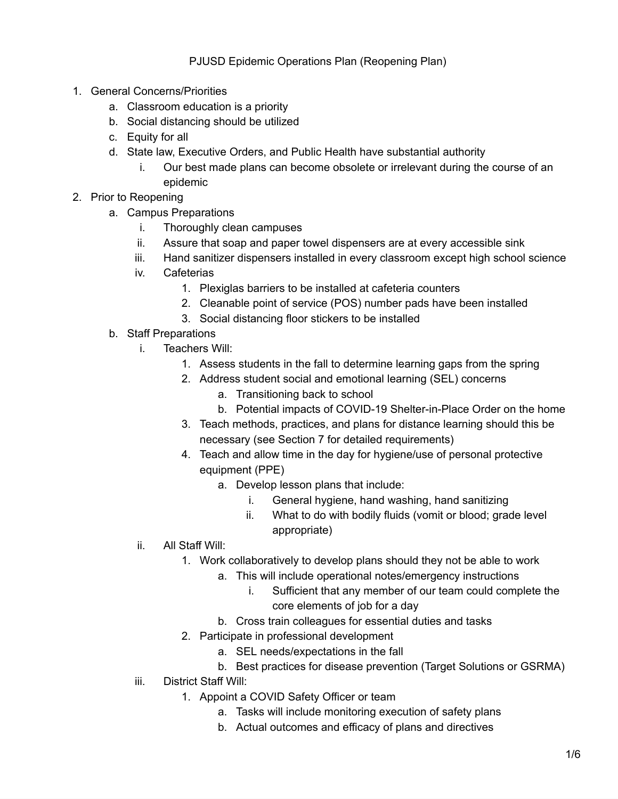## PJUSD Epidemic Operations Plan (Reopening Plan)

- 1. General Concerns/Priorities
	- a. Classroom education is a priority
	- b. Social distancing should be utilized
	- c. Equity for all
	- d. State law, Executive Orders, and Public Health have substantial authority
		- i. Our best made plans can become obsolete or irrelevant during the course of an epidemic
- 2. Prior to Reopening
	- a. Campus Preparations
		- i. Thoroughly clean campuses
		- ii. Assure that soap and paper towel dispensers are at every accessible sink
		- iii. Hand sanitizer dispensers installed in every classroom except high school science
		- iv. Cafeterias
			- 1. Plexiglas barriers to be installed at cafeteria counters
			- 2. Cleanable point of service (POS) number pads have been installed
			- 3. Social distancing floor stickers to be installed
	- b. Staff Preparations
		- i. Teachers Will:
			- 1. Assess students in the fall to determine learning gaps from the spring
			- 2. Address student social and emotional learning (SEL) concerns
				- a. Transitioning back to school
				- b. Potential impacts of COVID-19 Shelter-in-Place Order on the home
			- 3. Teach methods, practices, and plans for distance learning should this be necessary (see Section 7 for detailed requirements)
			- 4. Teach and allow time in the day for hygiene/use of personal protective equipment (PPE)
				- a. Develop lesson plans that include:
					- i. General hygiene, hand washing, hand sanitizing
					- ii. What to do with bodily fluids (vomit or blood; grade level appropriate)
		- ii. All Staff Will:
			- 1. Work collaboratively to develop plans should they not be able to work
				- a. This will include operational notes/emergency instructions
					- i. Sufficient that any member of our team could complete the core elements of job for a day
				- b. Cross train colleagues for essential duties and tasks
			- 2. Participate in professional development
				- a. SEL needs/expectations in the fall
				- b. Best practices for disease prevention (Target Solutions or GSRMA)
		- iii. District Staff Will:
			- 1. Appoint a COVID Safety Officer or team
				- a. Tasks will include monitoring execution of safety plans
				- b. Actual outcomes and efficacy of plans and directives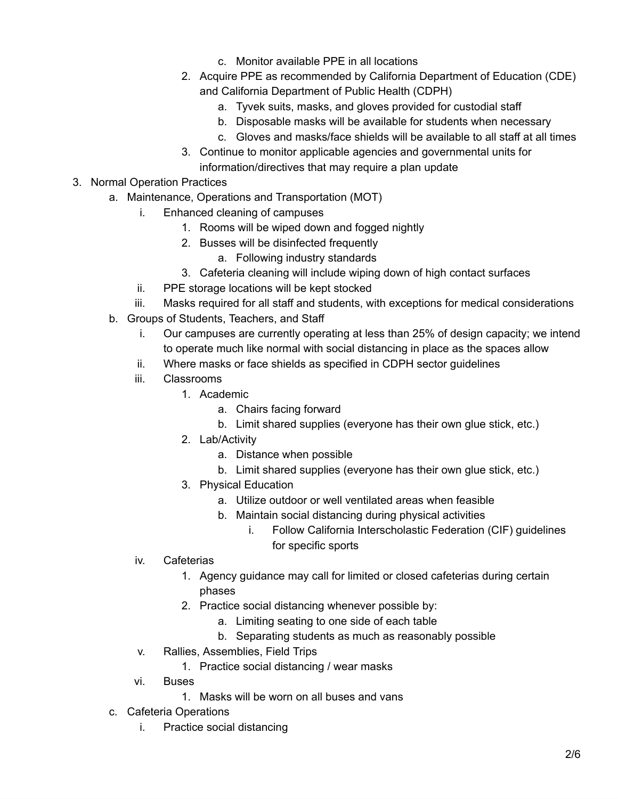- c. Monitor available PPE in all locations
- 2. Acquire PPE as recommended by California Department of Education (CDE) and California Department of Public Health (CDPH)
	- a. Tyvek suits, masks, and gloves provided for custodial staff
	- b. Disposable masks will be available for students when necessary
	- c. Gloves and masks/face shields will be available to all staff at all times
- 3. Continue to monitor applicable agencies and governmental units for information/directives that may require a plan update
- 3. Normal Operation Practices
	- a. Maintenance, Operations and Transportation (MOT)
		- i. Enhanced cleaning of campuses
			- 1. Rooms will be wiped down and fogged nightly
			- 2. Busses will be disinfected frequently
				- a. Following industry standards
			- 3. Cafeteria cleaning will include wiping down of high contact surfaces
		- ii. PPE storage locations will be kept stocked
		- iii. Masks required for all staff and students, with exceptions for medical considerations
	- b. Groups of Students, Teachers, and Staff
		- i. Our campuses are currently operating at less than 25% of design capacity; we intend to operate much like normal with social distancing in place as the spaces allow
		- ii. Where masks or face shields as specified in CDPH sector guidelines
		- iii. Classrooms
			- 1. Academic
				- a. Chairs facing forward
				- b. Limit shared supplies (everyone has their own glue stick, etc.)
			- 2. Lab/Activity
				- a. Distance when possible
				- b. Limit shared supplies (everyone has their own glue stick, etc.)
			- 3. Physical Education
				- a. Utilize outdoor or well ventilated areas when feasible
				- b. Maintain social distancing during physical activities
					- i. Follow California Interscholastic Federation (CIF) guidelines for specific sports
		- iv. Cafeterias
			- 1. Agency guidance may call for limited or closed cafeterias during certain phases
			- 2. Practice social distancing whenever possible by:
				- a. Limiting seating to one side of each table
				- b. Separating students as much as reasonably possible
		- v. Rallies, Assemblies, Field Trips
			- 1. Practice social distancing / wear masks
		- vi. Buses
			- 1. Masks will be worn on all buses and vans
	- c. Cafeteria Operations
		- i. Practice social distancing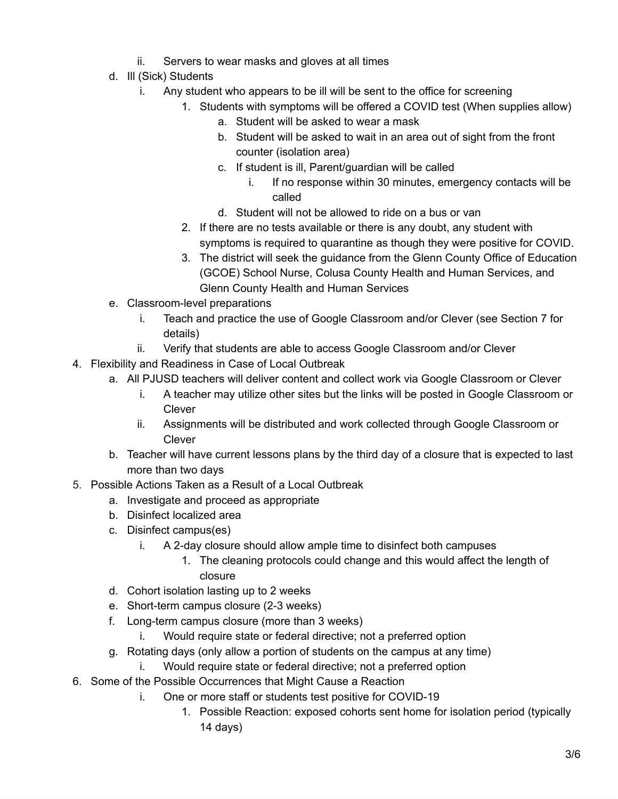- ii. Servers to wear masks and gloves at all times
- d. Ill (Sick) Students
	- i. Any student who appears to be ill will be sent to the office for screening
		- 1. Students with symptoms will be offered a COVID test (When supplies allow)
			- a. Student will be asked to wear a mask
			- b. Student will be asked to wait in an area out of sight from the front counter (isolation area)
			- c. If student is ill, Parent/guardian will be called
				- i. If no response within 30 minutes, emergency contacts will be called
			- d. Student will not be allowed to ride on a bus or van
			- 2. If there are no tests available or there is any doubt, any student with symptoms is required to quarantine as though they were positive for COVID.
			- 3. The district will seek the guidance from the Glenn County Office of Education (GCOE) School Nurse, Colusa County Health and Human Services, and Glenn County Health and Human Services
- e. Classroom-level preparations
	- i. Teach and practice the use of Google Classroom and/or Clever (see Section 7 for details)
	- ii. Verify that students are able to access Google Classroom and/or Clever
- 4. Flexibility and Readiness in Case of Local Outbreak
	- a. All PJUSD teachers will deliver content and collect work via Google Classroom or Clever
		- i. A teacher may utilize other sites but the links will be posted in Google Classroom or Clever
		- ii. Assignments will be distributed and work collected through Google Classroom or Clever
		- b. Teacher will have current lessons plans by the third day of a closure that is expected to last more than two days
- 5. Possible Actions Taken as a Result of a Local Outbreak
	- a. Investigate and proceed as appropriate
	- b. Disinfect localized area
	- c. Disinfect campus(es)
		- i. A 2-day closure should allow ample time to disinfect both campuses
			- 1. The cleaning protocols could change and this would affect the length of closure
	- d. Cohort isolation lasting up to 2 weeks
	- e. Short-term campus closure (2-3 weeks)
	- f. Long-term campus closure (more than 3 weeks)
		- i. Would require state or federal directive; not a preferred option
	- g. Rotating days (only allow a portion of students on the campus at any time)
		- i. Would require state or federal directive; not a preferred option
- 6. Some of the Possible Occurrences that Might Cause a Reaction
	- i. One or more staff or students test positive for COVID-19
		- 1. Possible Reaction: exposed cohorts sent home for isolation period (typically 14 days)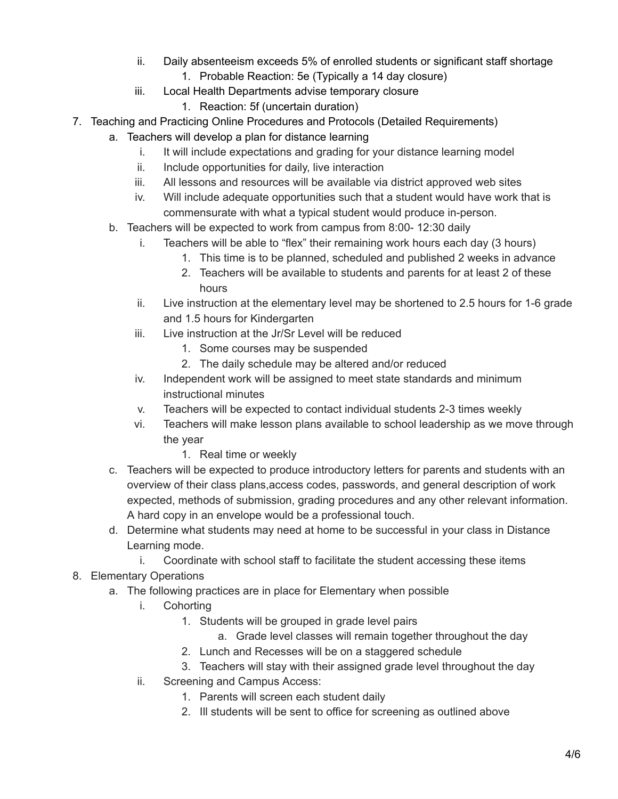- ii. Daily absenteeism exceeds 5% of enrolled students or significant staff shortage
	- 1. Probable Reaction: 5e (Typically a 14 day closure)
- iii. Local Health Departments advise temporary closure
	- 1. Reaction: 5f (uncertain duration)
- 7. Teaching and Practicing Online Procedures and Protocols (Detailed Requirements)
	- a. Teachers will develop a plan for distance learning
		- i. It will include expectations and grading for your distance learning model
		- ii. Include opportunities for daily, live interaction
		- iii. All lessons and resources will be available via district approved web sites
		- iv. Will include adequate opportunities such that a student would have work that is commensurate with what a typical student would produce in-person.
	- b. Teachers will be expected to work from campus from 8:00- 12:30 daily
		- i. Teachers will be able to "flex" their remaining work hours each day (3 hours)
			- 1. This time is to be planned, scheduled and published 2 weeks in advance
			- 2. Teachers will be available to students and parents for at least 2 of these hours
		- ii. Live instruction at the elementary level may be shortened to 2.5 hours for 1-6 grade and 1.5 hours for Kindergarten
		- iii. Live instruction at the Jr/Sr Level will be reduced
			- 1. Some courses may be suspended
			- 2. The daily schedule may be altered and/or reduced
		- iv. Independent work will be assigned to meet state standards and minimum instructional minutes
		- v. Teachers will be expected to contact individual students 2-3 times weekly
		- vi. Teachers will make lesson plans available to school leadership as we move through the year
			- 1. Real time or weekly
	- c. Teachers will be expected to produce introductory letters for parents and students with an overview of their class plans,access codes, passwords, and general description of work expected, methods of submission, grading procedures and any other relevant information. A hard copy in an envelope would be a professional touch.
	- d. Determine what students may need at home to be successful in your class in Distance Learning mode.
		- i. Coordinate with school staff to facilitate the student accessing these items
- 8. Elementary Operations
	- a. The following practices are in place for Elementary when possible
		- i. Cohorting
			- 1. Students will be grouped in grade level pairs
				- a. Grade level classes will remain together throughout the day
			- 2. Lunch and Recesses will be on a staggered schedule
			- 3. Teachers will stay with their assigned grade level throughout the day
		- ii. Screening and Campus Access:
			- 1. Parents will screen each student daily
			- 2. Ill students will be sent to office for screening as outlined above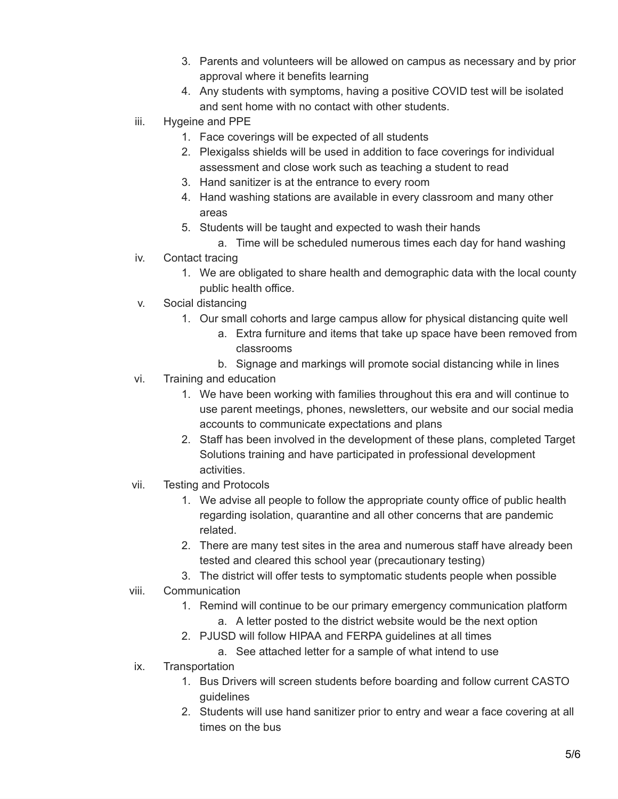- 3. Parents and volunteers will be allowed on campus as necessary and by prior approval where it benefits learning
- 4. Any students with symptoms, having a positive COVID test will be isolated and sent home with no contact with other students.
- iii. Hygeine and PPE
	- 1. Face coverings will be expected of all students
	- 2. Plexigalss shields will be used in addition to face coverings for individual assessment and close work such as teaching a student to read
	- 3. Hand sanitizer is at the entrance to every room
	- 4. Hand washing stations are available in every classroom and many other areas
	- 5. Students will be taught and expected to wash their hands
		- a. Time will be scheduled numerous times each day for hand washing
- iv. Contact tracing
	- 1. We are obligated to share health and demographic data with the local county public health office.
- v. Social distancing
	- 1. Our small cohorts and large campus allow for physical distancing quite well
		- a. Extra furniture and items that take up space have been removed from classrooms
		- b. Signage and markings will promote social distancing while in lines
- vi. Training and education
	- 1. We have been working with families throughout this era and will continue to use parent meetings, phones, newsletters, our website and our social media accounts to communicate expectations and plans
	- 2. Staff has been involved in the development of these plans, completed Target Solutions training and have participated in professional development activities.
- vii. Testing and Protocols
	- 1. We advise all people to follow the appropriate county office of public health regarding isolation, quarantine and all other concerns that are pandemic related.
	- 2. There are many test sites in the area and numerous staff have already been tested and cleared this school year (precautionary testing)
	- 3. The district will offer tests to symptomatic students people when possible
- viii. Communication
	- 1. Remind will continue to be our primary emergency communication platform a. A letter posted to the district website would be the next option
	- 2. PJUSD will follow HIPAA and FERPA guidelines at all times
		- a. See attached letter for a sample of what intend to use
- ix. Transportation
	- 1. Bus Drivers will screen students before boarding and follow current CASTO guidelines
	- 2. Students will use hand sanitizer prior to entry and wear a face covering at all times on the bus